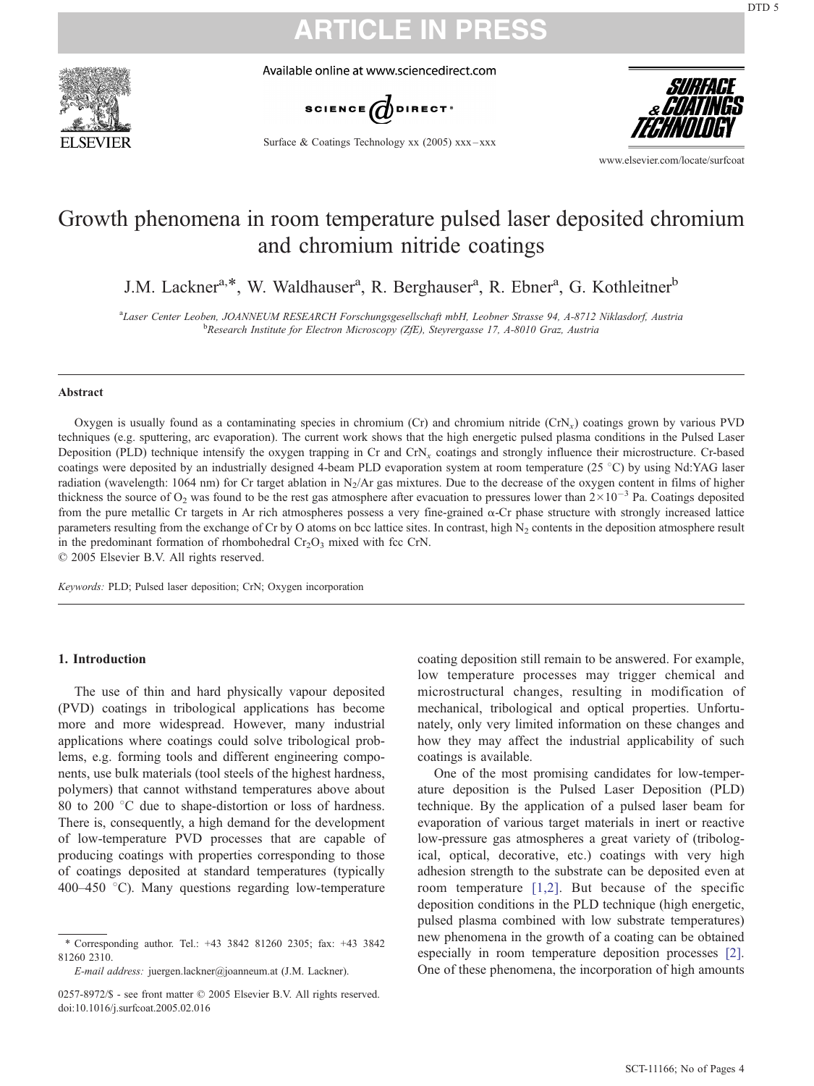

Available online at www.sciencedirect.com



Surface & Coatings Technology xx  $(2005)$  xxx – xxx



www.elsevier.com/locate/surfcoat

### Growth phenomena in room temperature pulsed laser deposited chromium and chromium nitride coatings

J.M. Lackner<sup>a,\*</sup>, W. Waldhauser<sup>a</sup>, R. Berghauser<sup>a</sup>, R. Ebner<sup>a</sup>, G. Kothleitner<sup>b</sup>

<sup>a</sup>Laser Center Leoben, JOANNEUM RESEARCH Forschungsgesellschaft mbH, Leobner Strasse 94, A-8712 Niklasdorf, Austria<br><sup>b</sup> Basearch Institute for Electron Microscopy (74E), Stovercasse 17, A 8010 Graz, Austria <sup>b</sup>Research Institute for Electron Microscopy (ZfE), Steyrergasse 17, A-8010 Graz, Austria

#### Abstract

Oxygen is usually found as a contaminating species in chromium (Cr) and chromium nitride  $(CrN<sub>x</sub>)$  coatings grown by various PVD techniques (e.g. sputtering, arc evaporation). The current work shows that the high energetic pulsed plasma conditions in the Pulsed Laser Deposition (PLD) technique intensify the oxygen trapping in Cr and CrN<sub>x</sub> coatings and strongly influence their microstructure. Cr-based coatings were deposited by an industrially designed 4-beam PLD evaporation system at room temperature  $(25 \degree C)$  by using Nd:YAG laser radiation (wavelength: 1064 nm) for Cr target ablation in  $N_2/Ar$  gas mixtures. Due to the decrease of the oxygen content in films of higher thickness the source of O<sub>2</sub> was found to be the rest gas atmosphere after evacuation to pressures lower than  $2 \times 10^{-3}$  Pa. Coatings deposited from the pure metallic Cr targets in Ar rich atmospheres possess a very fine-grained  $\alpha$ -Cr phase structure with strongly increased lattice parameters resulting from the exchange of Cr by O atoms on bcc lattice sites. In contrast, high  $N<sub>2</sub>$  contents in the deposition atmosphere result in the predominant formation of rhombohedral  $Cr_2O_3$  mixed with fcc CrN.

 $\odot$  2005 Elsevier B.V. All rights reserved.

Keywords: PLD; Pulsed laser deposition; CrN; Oxygen incorporation

### 1. Introduction

The use of thin and hard physically vapour deposited (PVD) coatings in tribological applications has become more and more widespread. However, many industrial applications where coatings could solve tribological problems, e.g. forming tools and different engineering components, use bulk materials (tool steels of the highest hardness, polymers) that cannot withstand temperatures above about 80 to 200  $\degree$ C due to shape-distortion or loss of hardness. There is, consequently, a high demand for the development of low-temperature PVD processes that are capable of producing coatings with properties corresponding to those of coatings deposited at standard temperatures (typically 400–450 °C). Many questions regarding low-temperature

coating deposition still remain to be answered. For example, low temperature processes may trigger chemical and microstructural changes, resulting in modification of mechanical, tribological and optical properties. Unfortunately, only very limited information on these changes and how they may affect the industrial applicability of such coatings is available.

One of the most promising candidates for low-temperature deposition is the Pulsed Laser Deposition (PLD) technique. By the application of a pulsed laser beam for evaporation of various target materials in inert or reactive low-pressure gas atmospheres a great variety of (tribological, optical, decorative, etc.) coatings with very high adhesion strength to the substrate can be deposited even at room temperature [\[1,2\].](#page-3-0) But because of the specific deposition conditions in the PLD technique (high energetic, pulsed plasma combined with low substrate temperatures) new phenomena in the growth of a coating can be obtained especially in room temperature deposition processes [\[2\].](#page-3-0) One of these phenomena, the incorporation of high amounts

<sup>\*</sup> Corresponding author. Tel.: +43 3842 81260 2305; fax: +43 3842 81260 2310.

E-mail address: juergen.lackner@joanneum.at (J.M. Lackner).

<sup>0257-8972/\$ -</sup> see front matter © 2005 Elsevier B.V. All rights reserved. doi:10.1016/j.surfcoat.2005.02.016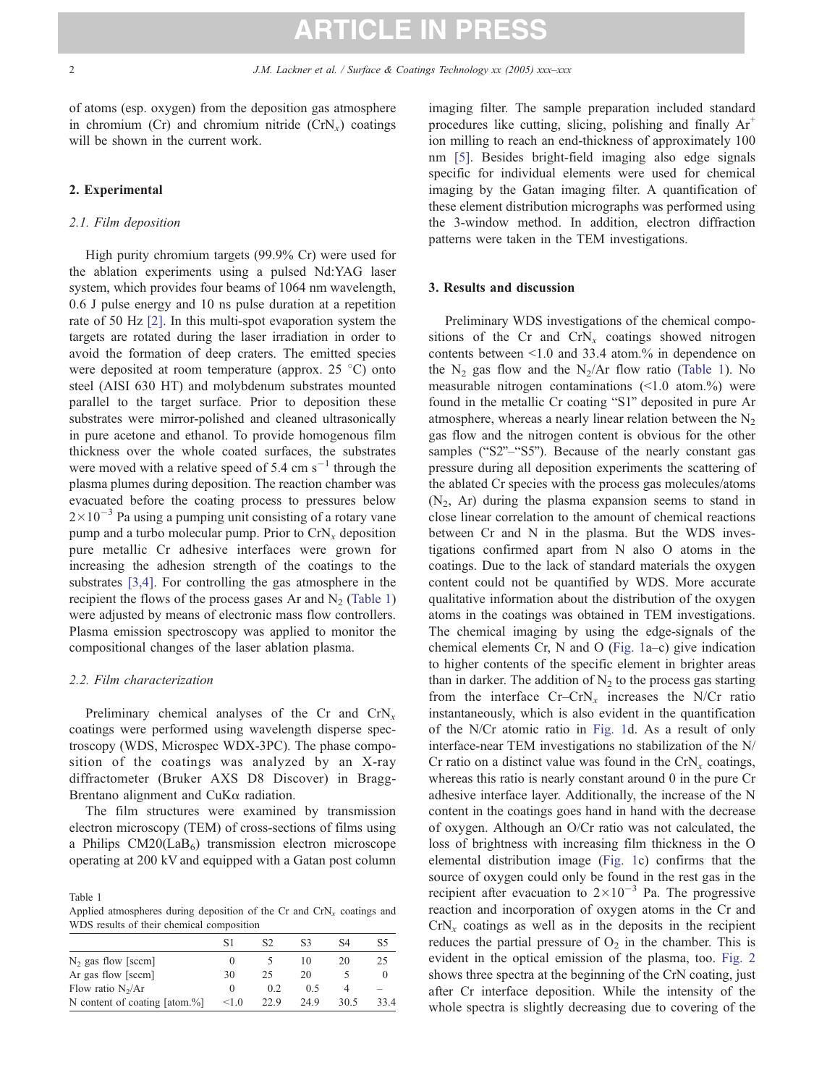of atoms (esp. oxygen) from the deposition gas atmosphere in chromium (Cr) and chromium nitride  $(CrN_{x})$  coatings will be shown in the current work.

### 2. Experimental

### 2.1. Film deposition

High purity chromium targets (99.9% Cr) were used for the ablation experiments using a pulsed Nd:YAG laser system, which provides four beams of 1064 nm wavelength, 0.6 J pulse energy and 10 ns pulse duration at a repetition rate of 50 Hz [\[2\].](#page-3-0) In this multi-spot evaporation system the targets are rotated during the laser irradiation in order to avoid the formation of deep craters. The emitted species were deposited at room temperature (approx. 25  $\degree$ C) onto steel (AISI 630 HT) and molybdenum substrates mounted parallel to the target surface. Prior to deposition these substrates were mirror-polished and cleaned ultrasonically in pure acetone and ethanol. To provide homogenous film thickness over the whole coated surfaces, the substrates were moved with a relative speed of 5.4 cm  $s^{-1}$  through the plasma plumes during deposition. The reaction chamber was evacuated before the coating process to pressures below  $2 \times 10^{-3}$  Pa using a pumping unit consisting of a rotary vane pump and a turbo molecular pump. Prior to  $CrN<sub>x</sub>$  deposition pure metallic Cr adhesive interfaces were grown for increasing the adhesion strength of the coatings to the substrates [\[3,4\].](#page-3-0) For controlling the gas atmosphere in the recipient the flows of the process gases Ar and  $N<sub>2</sub>$  (Table 1) were adjusted by means of electronic mass flow controllers. Plasma emission spectroscopy was applied to monitor the compositional changes of the laser ablation plasma.

#### 2.2. Film characterization

Preliminary chemical analyses of the Cr and  $CrN<sub>x</sub>$ coatings were performed using wavelength disperse spectroscopy (WDS, Microspec WDX-3PC). The phase composition of the coatings was analyzed by an X-ray diffractometer (Bruker AXS D8 Discover) in Bragg-Brentano alignment and CuK $\alpha$  radiation.

The film structures were examined by transmission electron microscopy (TEM) of cross-sections of films using a Philips  $CM20(LaB<sub>6</sub>)$  transmission electron microscope operating at 200 kV and equipped with a Gatan post column

Table 1 Applied atmospheres during deposition of the Cr and  $CrN<sub>x</sub>$  coatings and WDS results of their chemical composition

|                               | S1       |      | S3  | S4   | S5  |
|-------------------------------|----------|------|-----|------|-----|
| $N_2$ gas flow [sccm]         |          |      | 10  | 20   | 25  |
| Ar gas flow [sccm]            | 30       | 25   | 20  |      |     |
| Flow ratio $N_2/Ar$           | $\theta$ | 02   | 0.5 |      |     |
| N content of coating [atom.%] | < 1.0    | 22.9 | 249 | 30.5 | 334 |

imaging filter. The sample preparation included standard procedures like cutting, slicing, polishing and finally  $Ar^+$ ion milling to reach an end-thickness of approximately 100 nm [\[5\].](#page-3-0) Besides bright-field imaging also edge signals specific for individual elements were used for chemical imaging by the Gatan imaging filter. A quantification of these element distribution micrographs was performed using the 3-window method. In addition, electron diffraction patterns were taken in the TEM investigations.

#### 3. Results and discussion

Preliminary WDS investigations of the chemical compositions of the Cr and  $CrN<sub>x</sub>$  coatings showed nitrogen contents between  $\leq 1.0$  and 33.4 atom.% in dependence on the  $N_2$  gas flow and the  $N_2/Ar$  flow ratio (Table 1). No measurable nitrogen contaminations  $(\leq1.0 \text{ atom.})$  were found in the metallic Cr coating "S1" deposited in pure Ar atmosphere, whereas a nearly linear relation between the  $N<sub>2</sub>$ gas flow and the nitrogen content is obvious for the other samples (" $S2$ "–" $S5$ "). Because of the nearly constant gas pressure during all deposition experiments the scattering of the ablated Cr species with the process gas molecules/atoms  $(N_2, Ar)$  during the plasma expansion seems to stand in close linear correlation to the amount of chemical reactions between Cr and N in the plasma. But the WDS investigations confirmed apart from N also O atoms in the coatings. Due to the lack of standard materials the oxygen content could not be quantified by WDS. More accurate qualitative information about the distribution of the oxygen atoms in the coatings was obtained in TEM investigations. The chemical imaging by using the edge-signals of the chemical elements Cr, N and O ([Fig. 1a](#page-2-0)–c) give indication to higher contents of the specific element in brighter areas than in darker. The addition of  $N_2$  to the process gas starting from the interface  $Cr-CrN<sub>x</sub>$  increases the N/Cr ratio instantaneously, which is also evident in the quantification of the N/Cr atomic ratio in [Fig. 1d](#page-2-0). As a result of only interface-near TEM investigations no stabilization of the N/ Cr ratio on a distinct value was found in the  $CrN<sub>x</sub>$  coatings, whereas this ratio is nearly constant around 0 in the pure Cr adhesive interface layer. Additionally, the increase of the N content in the coatings goes hand in hand with the decrease of oxygen. Although an O/Cr ratio was not calculated, the loss of brightness with increasing film thickness in the O elemental distribution image ([Fig. 1c](#page-2-0)) confirms that the source of oxygen could only be found in the rest gas in the recipient after evacuation to  $2 \times 10^{-3}$  Pa. The progressive reaction and incorporation of oxygen atoms in the Cr and  $CrN<sub>x</sub>$  coatings as well as in the deposits in the recipient reduces the partial pressure of  $O_2$  in the chamber. This is evident in the optical emission of the plasma, too. [Fig. 2](#page-2-0) shows three spectra at the beginning of the CrN coating, just after Cr interface deposition. While the intensity of the whole spectra is slightly decreasing due to covering of the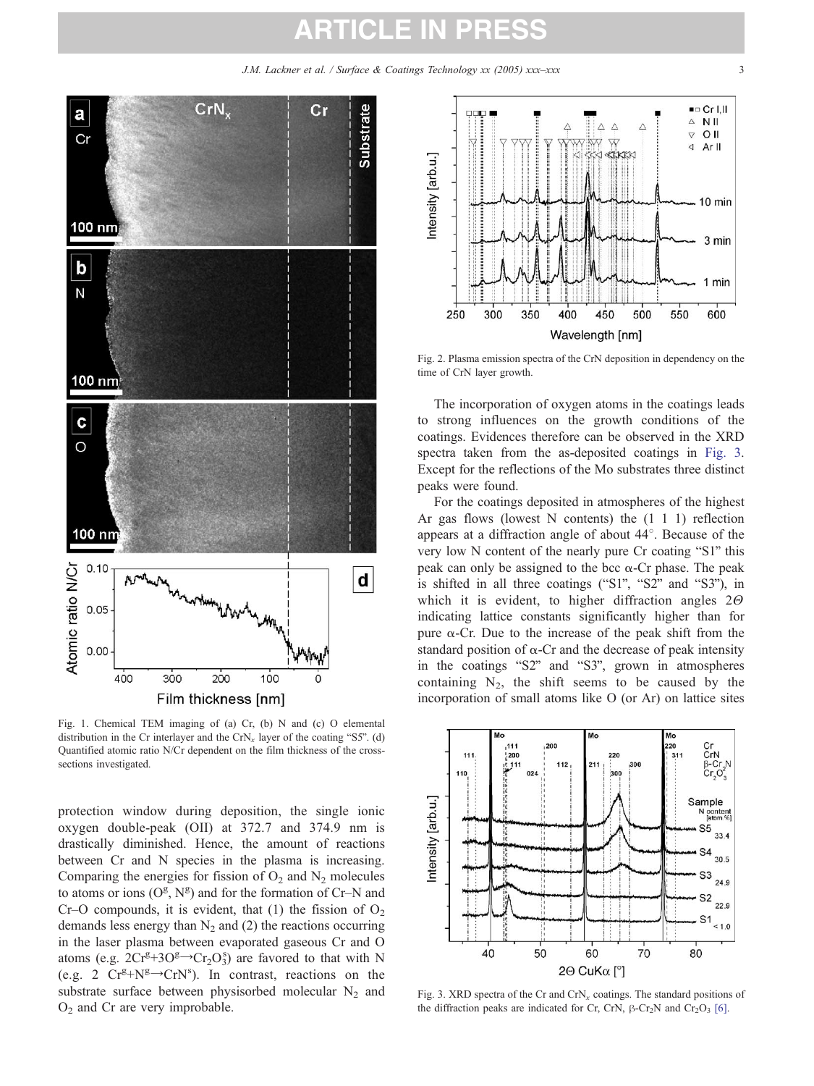J.M. Lackner et al. / Surface & Coatings Technology xx (2005) xxx-xxx

<span id="page-2-0"></span>

Fig. 1. Chemical TEM imaging of (a) Cr, (b) N and (c) O elemental distribution in the Cr interlayer and the  $CrN<sub>x</sub>$  layer of the coating "S5". (d) Quantified atomic ratio N/Cr dependent on the film thickness of the crosssections investigated.

protection window during deposition, the single ionic oxygen double-peak (OII) at 372.7 and 374.9 nm is drastically diminished. Hence, the amount of reactions between Cr and N species in the plasma is increasing. Comparing the energies for fission of  $O_2$  and  $N_2$  molecules to atoms or ions  $(O^g, N^g)$  and for the formation of Cr–N and Cr–O compounds, it is evident, that (1) the fission of  $O_2$ demands less energy than  $N_2$  and (2) the reactions occurring in the laser plasma between evaporated gaseous Cr and O atoms (e.g.  $2Cr^{g}+3O^{g}\rightarrow Cr_{2}O_{3}^{s}$ ) are favored to that with N (e.g. 2  $Cr^{g} + N^{g} \rightarrow CrN^{s}$ ). In contrast, reactions on the substrate surface between physisorbed molecular  $N_2$  and  $O<sub>2</sub>$  and Cr are very improbable.



Fig. 2. Plasma emission spectra of the CrN deposition in dependency on the time of CrN layer growth.

The incorporation of oxygen atoms in the coatings leads to strong influences on the growth conditions of the coatings. Evidences therefore can be observed in the XRD spectra taken from the as-deposited coatings in Fig. 3. Except for the reflections of the Mo substrates three distinct peaks were found.

For the coatings deposited in atmospheres of the highest Ar gas flows (lowest N contents) the (1 1 1) reflection appears at a diffraction angle of about  $44^\circ$ . Because of the very low N content of the nearly pure Cr coating "S1" this peak can only be assigned to the bcc  $\alpha$ -Cr phase. The peak is shifted in all three coatings ("S1", "S2" and "S3"), in which it is evident, to higher diffraction angles  $2\Theta$ indicating lattice constants significantly higher than for pure  $\alpha$ -Cr. Due to the increase of the peak shift from the standard position of  $\alpha$ -Cr and the decrease of peak intensity in the coatings "S2" and "S3", grown in atmospheres containing  $N_2$ , the shift seems to be caused by the incorporation of small atoms like O (or Ar) on lattice sites



Fig. 3. XRD spectra of the Cr and  $CrN<sub>x</sub>$  coatings. The standard positions of the diffraction peaks are indicated for Cr, CrN,  $\beta$ -Cr<sub>2</sub>N and Cr<sub>2</sub>O<sub>3</sub> [\[6\].](#page-3-0)